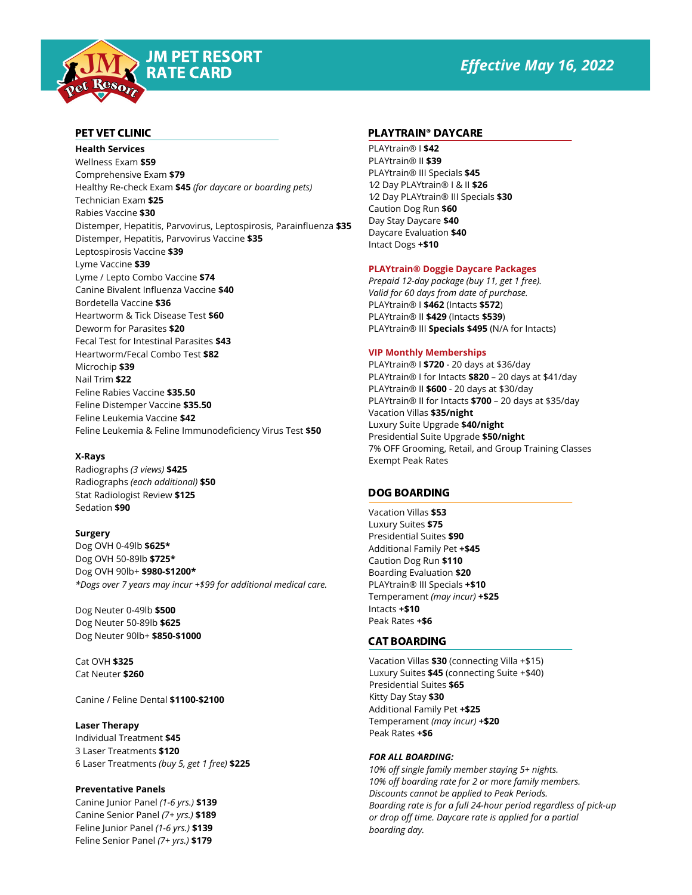# *Effective May 16, 2022*



JM PET RESORT RATE CARD

**Health Services** Wellness Exam **\$59** Comprehensive Exam **\$79** Healthy Re-check Exam **\$45** *(for daycare or boarding pets)* Technician Exam **\$25** Rabies Vaccine **\$30** Distemper, Hepatitis, Parvovirus, Leptospirosis, Parainfluenza **\$35** Distemper, Hepatitis, Parvovirus Vaccine **\$35** Leptospirosis Vaccine **\$39** Lyme Vaccine **\$39** Lyme / Lepto Combo Vaccine **\$74** Canine Bivalent Influenza Vaccine **\$40** Bordetella Vaccine **\$36** Heartworm & Tick Disease Test **\$60** Deworm for Parasites **\$20** Fecal Test for Intestinal Parasites **\$43** Heartworm/Fecal Combo Test **\$82** Microchip **\$39** Nail Trim **\$22** Feline Rabies Vaccine **\$35.50** Feline Distemper Vaccine **\$35.50** Feline Leukemia Vaccine **\$42** Feline Leukemia & Feline Immunodeficiency Virus Test **\$50**

# **X-Rays**

Radiographs *(3 views)* **\$425** Radiographs *(each additional)* **\$50** Stat Radiologist Review **\$125** Sedation **\$90**

# **Surgery**

Dog OVH 0-49lb **\$625\*** Dog OVH 50-89lb **\$725\*** Dog OVH 90lb+ **\$980-\$1200\*** *\*Dogs over 7 years may incur +\$99 for additional medical care.*

Dog Neuter 0-49lb **\$500** Dog Neuter 50-89lb **\$625** Dog Neuter 90lb+ **\$850-\$1000**

Cat OVH **\$325** Cat Neuter **\$260**

Canine / Feline Dental **\$1100-\$2100**

# **Laser Therapy**

Individual Treatment **\$45** 3 Laser Treatments **\$120** 6 Laser Treatments *(buy 5, get 1 free)* **\$225**

# **Preventative Panels**

Canine Junior Panel *(1-6 yrs.)* **\$139** Canine Senior Panel *(7+ yrs.)* **\$189** Feline Junior Panel *(1-6 yrs.)* **\$139** Feline Senior Panel *(7+ yrs.)* **\$179**

## PET VET CLINIC AND RESERVE THE PLAYTRAIN® DAYCARE

PLAYtrain® I **\$42** PLAYtrain® II **\$39** PLAYtrain® III Specials **\$45** 1⁄2 Day PLAYtrain® I & II **\$26** 1⁄2 Day PLAYtrain® III Specials **\$30** Caution Dog Run **\$60** Day Stay Daycare **\$40** Daycare Evaluation **\$40** Intact Dogs **+\$10**

### **PLAYtrain® Doggie Daycare Packages**

*Prepaid 12-day package (buy 11, get 1 free). Valid for 60 days from date of purchase.* PLAYtrain® I **\$462** (Intacts **\$572**) PLAYtrain® II **\$429** (Intacts **\$539**) PLAYtrain® III **Specials \$495** (N/A for Intacts)

#### **VIP Monthly Memberships**

PLAYtrain® I **\$720** - 20 days at \$36/day PLAYtrain® I for Intacts **\$820** – 20 days at \$41/day PLAYtrain® II **\$600** - 20 days at \$30/day PLAYtrain® II for Intacts **\$700** – 20 days at \$35/day Vacation Villas **\$35/night** Luxury Suite Upgrade **\$40/night** Presidential Suite Upgrade **\$50/night** 7% OFF Grooming, Retail, and Group Training Classes Exempt Peak Rates

# DOG BOARDING

Vacation Villas **\$53** Luxury Suites **\$75** Presidential Suites **\$90** Additional Family Pet **+\$45** Caution Dog Run **\$110** Boarding Evaluation **\$20** PLAYtrain® III Specials **+\$10** Temperament *(may incur)* **+\$25** Intacts **+\$10** Peak Rates **+\$6**

#### CAT BOARDING

Vacation Villas **\$30** (connecting Villa +\$15) Luxury Suites **\$45** (connecting Suite +\$40) Presidential Suites **\$65** Kitty Day Stay **\$30** Additional Family Pet **+\$25** Temperament *(may incur)* **+\$20** Peak Rates **+\$6**

#### *FOR ALL BOARDING:*

*10% off single family member staying 5+ nights. 10% off boarding rate for 2 or more family members. Discounts cannot be applied to Peak Periods. Boarding rate is for a full 24-hour period regardless of pick-up or drop off time. Daycare rate is applied for a partial boarding day.*